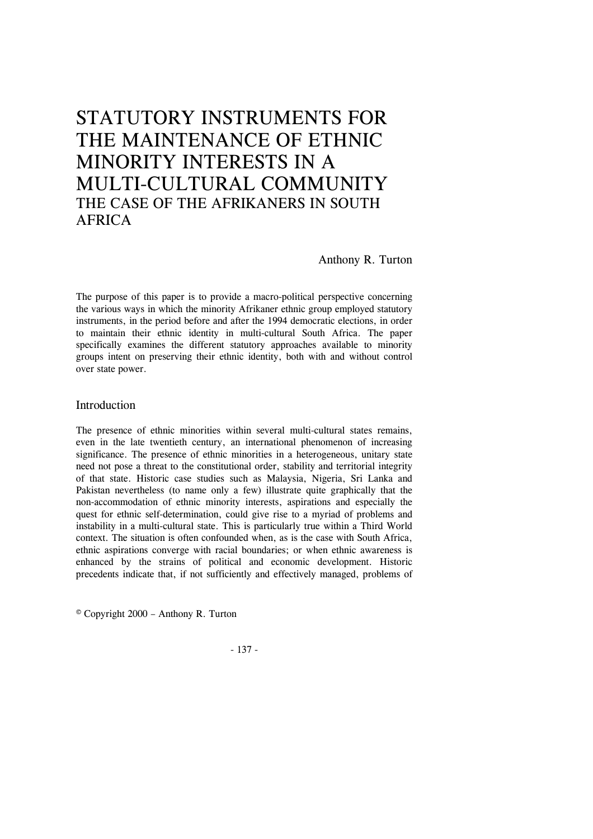# STATUTORY INSTRUMENTS FOR THE MAINTENANCE OF ETHNIC MINORITY INTERESTS IN A MULTI-CULTURAL COMMUNITY THE CASE OF THE AFRIKANERS IN SOUTH AFRICA

Anthony R. Turton

The purpose of this paper is to provide a macro-political perspective concerning the various ways in which the minority Afrikaner ethnic group employed statutory instruments, in the period before and after the 1994 democratic elections, in order to maintain their ethnic identity in multi-cultural South Africa. The paper specifically examines the different statutory approaches available to minority groups intent on preserving their ethnic identity, both with and without control over state power.

# Introduction

The presence of ethnic minorities within several multi-cultural states remains, even in the late twentieth century, an international phenomenon of increasing significance. The presence of ethnic minorities in a heterogeneous, unitary state need not pose a threat to the constitutional order, stability and territorial integrity of that state. Historic case studies such as Malaysia, Nigeria, Sri Lanka and Pakistan nevertheless (to name only a few) illustrate quite graphically that the non-accommodation of ethnic minority interests, aspirations and especially the quest for ethnic self-determination, could give rise to a myriad of problems and instability in a multi-cultural state. This is particularly true within a Third World context. The situation is often confounded when, as is the case with South Africa, ethnic aspirations converge with racial boundaries; or when ethnic awareness is enhanced by the strains of political and economic development. Historic precedents indicate that, if not sufficiently and effectively managed, problems of

© Copyright 2000 – Anthony R. Turton

- 137 -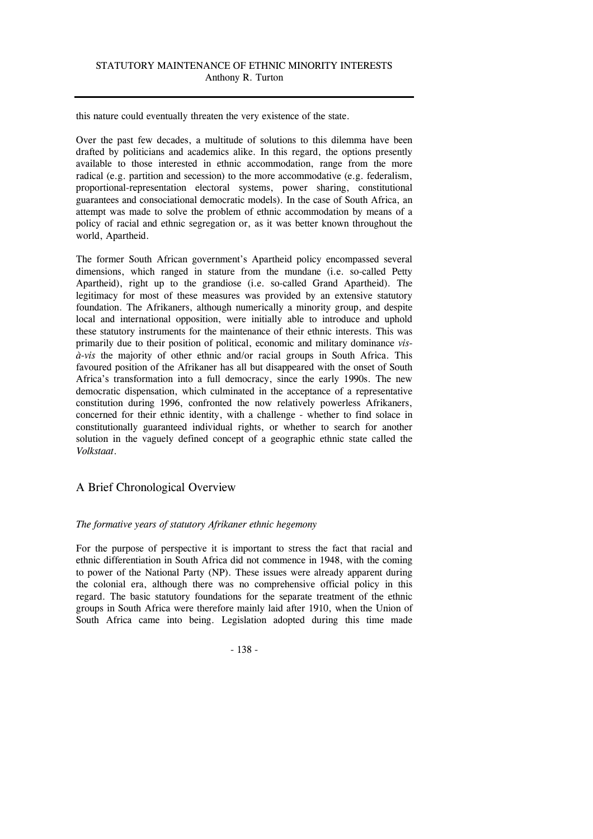this nature could eventually threaten the very existence of the state.

Over the past few decades, a multitude of solutions to this dilemma have been drafted by politicians and academics alike. In this regard, the options presently available to those interested in ethnic accommodation, range from the more radical (e.g. partition and secession) to the more accommodative (e.g. federalism, proportional-representation electoral systems, power sharing, constitutional guarantees and consociational democratic models). In the case of South Africa, an attempt was made to solve the problem of ethnic accommodation by means of a policy of racial and ethnic segregation or, as it was better known throughout the world, Apartheid.

The former South African government's Apartheid policy encompassed several dimensions, which ranged in stature from the mundane (i.e. so-called Petty Apartheid), right up to the grandiose (i.e. so-called Grand Apartheid). The legitimacy for most of these measures was provided by an extensive statutory foundation. The Afrikaners, although numerically a minority group, and despite local and international opposition, were initially able to introduce and uphold these statutory instruments for the maintenance of their ethnic interests. This was primarily due to their position of political, economic and military dominance *visà-vis* the majority of other ethnic and/or racial groups in South Africa. This favoured position of the Afrikaner has all but disappeared with the onset of South Africa's transformation into a full democracy, since the early 1990s. The new democratic dispensation, which culminated in the acceptance of a representative constitution during 1996, confronted the now relatively powerless Afrikaners, concerned for their ethnic identity, with a challenge - whether to find solace in constitutionally guaranteed individual rights, or whether to search for another solution in the vaguely defined concept of a geographic ethnic state called the *Volkstaat*.

# A Brief Chronological Overview

#### *The formative years of statutory Afrikaner ethnic hegemony*

For the purpose of perspective it is important to stress the fact that racial and ethnic differentiation in South Africa did not commence in 1948, with the coming to power of the National Party (NP). These issues were already apparent during the colonial era, although there was no comprehensive official policy in this regard. The basic statutory foundations for the separate treatment of the ethnic groups in South Africa were therefore mainly laid after 1910, when the Union of South Africa came into being. Legislation adopted during this time made

- 138 -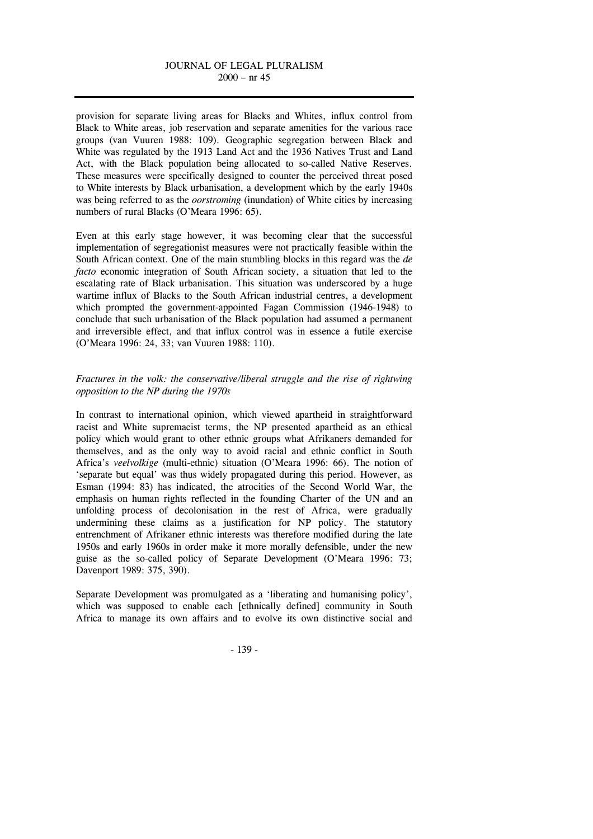provision for separate living areas for Blacks and Whites, influx control from Black to White areas, job reservation and separate amenities for the various race groups (van Vuuren 1988: 109). Geographic segregation between Black and White was regulated by the 1913 Land Act and the 1936 Natives Trust and Land Act, with the Black population being allocated to so-called Native Reserves. These measures were specifically designed to counter the perceived threat posed to White interests by Black urbanisation, a development which by the early 1940s was being referred to as the *oorstroming* (inundation) of White cities by increasing numbers of rural Blacks (O'Meara 1996: 65).

Even at this early stage however, it was becoming clear that the successful implementation of segregationist measures were not practically feasible within the South African context. One of the main stumbling blocks in this regard was the *de facto* economic integration of South African society, a situation that led to the escalating rate of Black urbanisation. This situation was underscored by a huge wartime influx of Blacks to the South African industrial centres, a development which prompted the government-appointed Fagan Commission (1946-1948) to conclude that such urbanisation of the Black population had assumed a permanent and irreversible effect, and that influx control was in essence a futile exercise (O'Meara 1996: 24, 33; van Vuuren 1988: 110).

## *Fractures in the volk: the conservative/liberal struggle and the rise of rightwing opposition to the NP during the 1970s*

In contrast to international opinion, which viewed apartheid in straightforward racist and White supremacist terms, the NP presented apartheid as an ethical policy which would grant to other ethnic groups what Afrikaners demanded for themselves, and as the only way to avoid racial and ethnic conflict in South Africa's *veelvolkige* (multi-ethnic) situation (O'Meara 1996: 66). The notion of 'separate but equal' was thus widely propagated during this period. However, as Esman (1994: 83) has indicated, the atrocities of the Second World War, the emphasis on human rights reflected in the founding Charter of the UN and an unfolding process of decolonisation in the rest of Africa, were gradually undermining these claims as a justification for NP policy. The statutory entrenchment of Afrikaner ethnic interests was therefore modified during the late 1950s and early 1960s in order make it more morally defensible, under the new guise as the so-called policy of Separate Development (O'Meara 1996: 73; Davenport 1989: 375, 390).

Separate Development was promulgated as a 'liberating and humanising policy', which was supposed to enable each [ethnically defined] community in South Africa to manage its own affairs and to evolve its own distinctive social and

- 139 -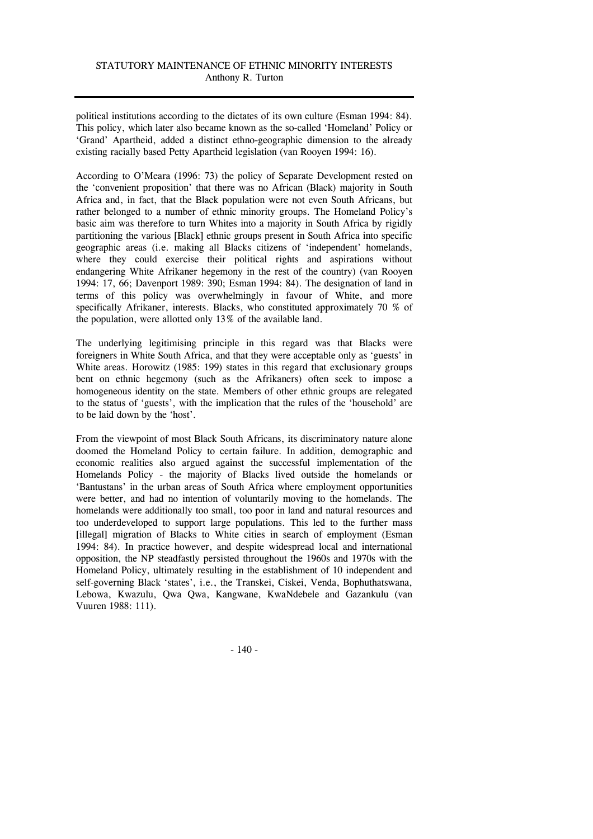political institutions according to the dictates of its own culture (Esman 1994: 84). This policy, which later also became known as the so-called 'Homeland' Policy or 'Grand' Apartheid, added a distinct ethno-geographic dimension to the already existing racially based Petty Apartheid legislation (van Rooyen 1994: 16).

According to O'Meara (1996: 73) the policy of Separate Development rested on the 'convenient proposition' that there was no African (Black) majority in South Africa and, in fact, that the Black population were not even South Africans, but rather belonged to a number of ethnic minority groups. The Homeland Policy's basic aim was therefore to turn Whites into a majority in South Africa by rigidly partitioning the various [Black] ethnic groups present in South Africa into specific geographic areas (i.e. making all Blacks citizens of 'independent' homelands, where they could exercise their political rights and aspirations without endangering White Afrikaner hegemony in the rest of the country) (van Rooyen 1994: 17, 66; Davenport 1989: 390; Esman 1994: 84). The designation of land in terms of this policy was overwhelmingly in favour of White, and more specifically Afrikaner, interests. Blacks, who constituted approximately 70 % of the population, were allotted only 13% of the available land.

The underlying legitimising principle in this regard was that Blacks were foreigners in White South Africa, and that they were acceptable only as 'guests' in White areas. Horowitz (1985: 199) states in this regard that exclusionary groups bent on ethnic hegemony (such as the Afrikaners) often seek to impose a homogeneous identity on the state. Members of other ethnic groups are relegated to the status of 'guests', with the implication that the rules of the 'household' are to be laid down by the 'host'.

From the viewpoint of most Black South Africans, its discriminatory nature alone doomed the Homeland Policy to certain failure. In addition, demographic and economic realities also argued against the successful implementation of the Homelands Policy - the majority of Blacks lived outside the homelands or 'Bantustans' in the urban areas of South Africa where employment opportunities were better, and had no intention of voluntarily moving to the homelands. The homelands were additionally too small, too poor in land and natural resources and too underdeveloped to support large populations. This led to the further mass [illegal] migration of Blacks to White cities in search of employment (Esman 1994: 84). In practice however, and despite widespread local and international opposition, the NP steadfastly persisted throughout the 1960s and 1970s with the Homeland Policy, ultimately resulting in the establishment of 10 independent and self-governing Black 'states', i.e., the Transkei, Ciskei, Venda, Bophuthatswana, Lebowa, Kwazulu, Qwa Qwa, Kangwane, KwaNdebele and Gazankulu (van Vuuren 1988: 111).

- 140 -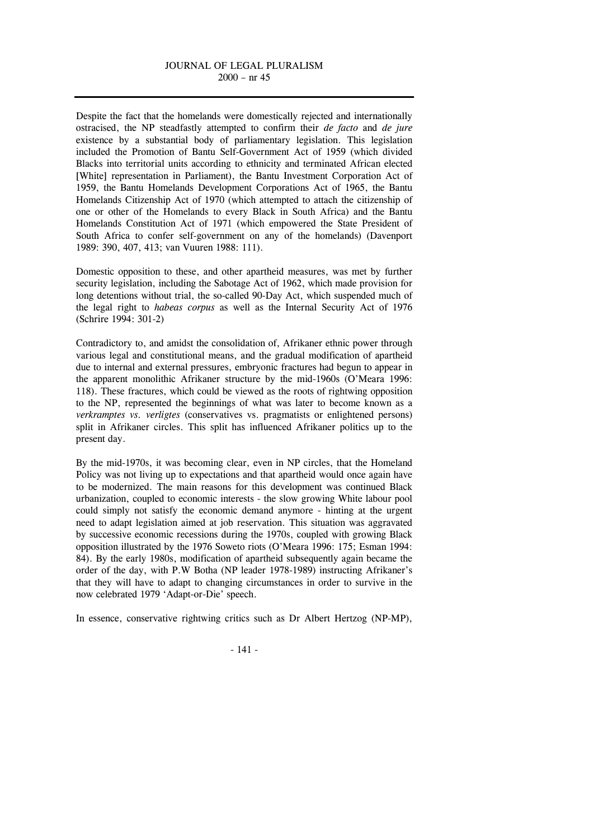Despite the fact that the homelands were domestically rejected and internationally ostracised, the NP steadfastly attempted to confirm their *de facto* and *de jure* existence by a substantial body of parliamentary legislation. This legislation included the Promotion of Bantu Self-Government Act of 1959 (which divided Blacks into territorial units according to ethnicity and terminated African elected [White] representation in Parliament), the Bantu Investment Corporation Act of 1959, the Bantu Homelands Development Corporations Act of 1965, the Bantu Homelands Citizenship Act of 1970 (which attempted to attach the citizenship of one or other of the Homelands to every Black in South Africa) and the Bantu Homelands Constitution Act of 1971 (which empowered the State President of South Africa to confer self-government on any of the homelands) (Davenport 1989: 390, 407, 413; van Vuuren 1988: 111).

Domestic opposition to these, and other apartheid measures, was met by further security legislation, including the Sabotage Act of 1962, which made provision for long detentions without trial, the so-called 90-Day Act, which suspended much of the legal right to *habeas corpus* as well as the Internal Security Act of 1976 (Schrire 1994: 301-2)

Contradictory to, and amidst the consolidation of, Afrikaner ethnic power through various legal and constitutional means, and the gradual modification of apartheid due to internal and external pressures, embryonic fractures had begun to appear in the apparent monolithic Afrikaner structure by the mid-1960s (O'Meara 1996: 118). These fractures, which could be viewed as the roots of rightwing opposition to the NP, represented the beginnings of what was later to become known as a *verkramptes vs. verligtes* (conservatives vs. pragmatists or enlightened persons) split in Afrikaner circles. This split has influenced Afrikaner politics up to the present day.

By the mid-1970s, it was becoming clear, even in NP circles, that the Homeland Policy was not living up to expectations and that apartheid would once again have to be modernized. The main reasons for this development was continued Black urbanization, coupled to economic interests - the slow growing White labour pool could simply not satisfy the economic demand anymore - hinting at the urgent need to adapt legislation aimed at job reservation. This situation was aggravated by successive economic recessions during the 1970s, coupled with growing Black opposition illustrated by the 1976 Soweto riots (O'Meara 1996: 175; Esman 1994: 84). By the early 1980s, modification of apartheid subsequently again became the order of the day, with P.W Botha (NP leader 1978-1989) instructing Afrikaner's that they will have to adapt to changing circumstances in order to survive in the now celebrated 1979 'Adapt-or-Die' speech.

In essence, conservative rightwing critics such as Dr Albert Hertzog (NP-MP),

- 141 -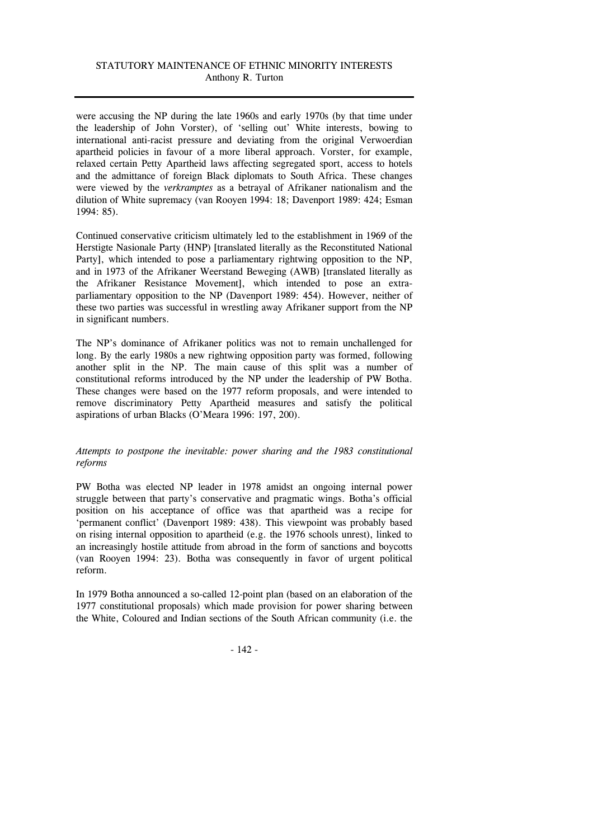were accusing the NP during the late 1960s and early 1970s (by that time under the leadership of John Vorster), of 'selling out' White interests, bowing to international anti-racist pressure and deviating from the original Verwoerdian apartheid policies in favour of a more liberal approach. Vorster, for example, relaxed certain Petty Apartheid laws affecting segregated sport, access to hotels and the admittance of foreign Black diplomats to South Africa. These changes were viewed by the *verkramptes* as a betrayal of Afrikaner nationalism and the dilution of White supremacy (van Rooyen 1994: 18; Davenport 1989: 424; Esman 1994: 85).

Continued conservative criticism ultimately led to the establishment in 1969 of the Herstigte Nasionale Party (HNP) [translated literally as the Reconstituted National Party], which intended to pose a parliamentary rightwing opposition to the NP, and in 1973 of the Afrikaner Weerstand Beweging (AWB) [translated literally as the Afrikaner Resistance Movement], which intended to pose an extraparliamentary opposition to the NP (Davenport 1989: 454). However, neither of these two parties was successful in wrestling away Afrikaner support from the NP in significant numbers.

The NP's dominance of Afrikaner politics was not to remain unchallenged for long. By the early 1980s a new rightwing opposition party was formed, following another split in the NP. The main cause of this split was a number of constitutional reforms introduced by the NP under the leadership of PW Botha. These changes were based on the 1977 reform proposals, and were intended to remove discriminatory Petty Apartheid measures and satisfy the political aspirations of urban Blacks (O'Meara 1996: 197, 200).

## *Attempts to postpone the inevitable: power sharing and the 1983 constitutional reforms*

PW Botha was elected NP leader in 1978 amidst an ongoing internal power struggle between that party's conservative and pragmatic wings. Botha's official position on his acceptance of office was that apartheid was a recipe for 'permanent conflict' (Davenport 1989: 438). This viewpoint was probably based on rising internal opposition to apartheid (e.g. the 1976 schools unrest), linked to an increasingly hostile attitude from abroad in the form of sanctions and boycotts (van Rooyen 1994: 23). Botha was consequently in favor of urgent political reform.

In 1979 Botha announced a so-called 12-point plan (based on an elaboration of the 1977 constitutional proposals) which made provision for power sharing between the White, Coloured and Indian sections of the South African community (i.e. the

- 142 -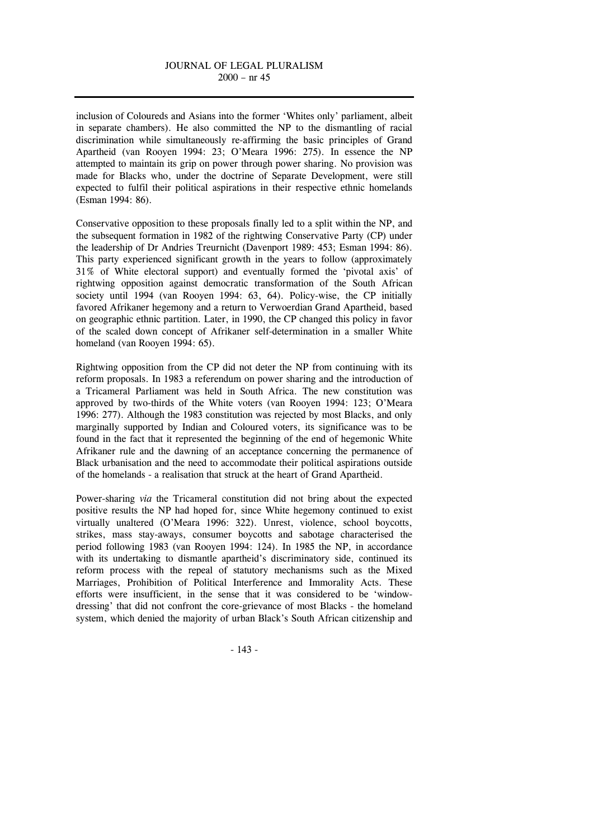inclusion of Coloureds and Asians into the former 'Whites only' parliament, albeit in separate chambers). He also committed the NP to the dismantling of racial discrimination while simultaneously re-affirming the basic principles of Grand Apartheid (van Rooyen 1994: 23; O'Meara 1996: 275). In essence the NP attempted to maintain its grip on power through power sharing. No provision was made for Blacks who, under the doctrine of Separate Development, were still expected to fulfil their political aspirations in their respective ethnic homelands (Esman 1994: 86).

Conservative opposition to these proposals finally led to a split within the NP, and the subsequent formation in 1982 of the rightwing Conservative Party (CP) under the leadership of Dr Andries Treurnicht (Davenport 1989: 453; Esman 1994: 86). This party experienced significant growth in the years to follow (approximately 31% of White electoral support) and eventually formed the 'pivotal axis' of rightwing opposition against democratic transformation of the South African society until 1994 (van Rooyen 1994: 63, 64). Policy-wise, the CP initially favored Afrikaner hegemony and a return to Verwoerdian Grand Apartheid, based on geographic ethnic partition. Later, in 1990, the CP changed this policy in favor of the scaled down concept of Afrikaner self-determination in a smaller White homeland (van Rooyen 1994: 65).

Rightwing opposition from the CP did not deter the NP from continuing with its reform proposals. In 1983 a referendum on power sharing and the introduction of a Tricameral Parliament was held in South Africa. The new constitution was approved by two-thirds of the White voters (van Rooyen 1994: 123; O'Meara 1996: 277). Although the 1983 constitution was rejected by most Blacks, and only marginally supported by Indian and Coloured voters, its significance was to be found in the fact that it represented the beginning of the end of hegemonic White Afrikaner rule and the dawning of an acceptance concerning the permanence of Black urbanisation and the need to accommodate their political aspirations outside of the homelands - a realisation that struck at the heart of Grand Apartheid.

Power-sharing *via* the Tricameral constitution did not bring about the expected positive results the NP had hoped for, since White hegemony continued to exist virtually unaltered (O'Meara 1996: 322). Unrest, violence, school boycotts, strikes, mass stay-aways, consumer boycotts and sabotage characterised the period following 1983 (van Rooyen 1994: 124). In 1985 the NP, in accordance with its undertaking to dismantle apartheid's discriminatory side, continued its reform process with the repeal of statutory mechanisms such as the Mixed Marriages, Prohibition of Political Interference and Immorality Acts. These efforts were insufficient, in the sense that it was considered to be 'windowdressing' that did not confront the core-grievance of most Blacks - the homeland system, which denied the majority of urban Black's South African citizenship and

- 143 -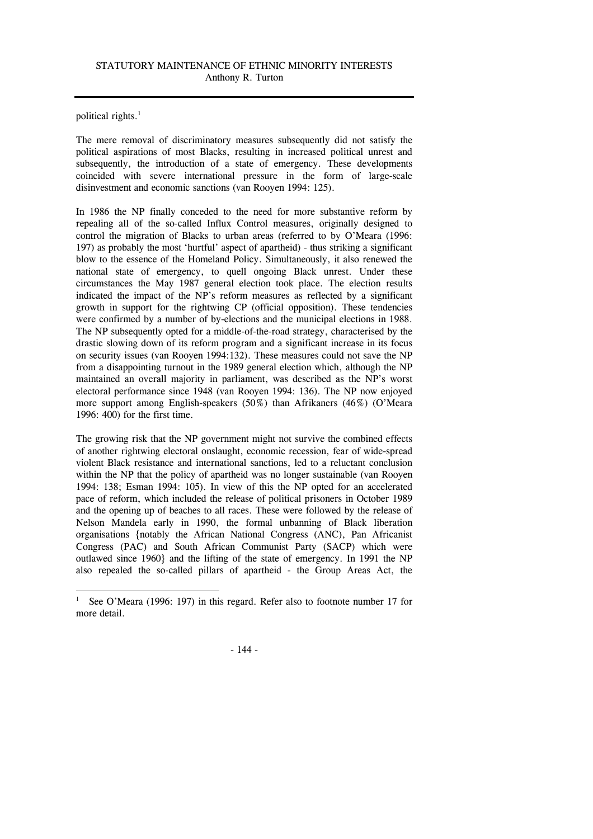political rights.<sup>1</sup>

The mere removal of discriminatory measures subsequently did not satisfy the political aspirations of most Blacks, resulting in increased political unrest and subsequently, the introduction of a state of emergency. These developments coincided with severe international pressure in the form of large-scale disinvestment and economic sanctions (van Rooyen 1994: 125).

In 1986 the NP finally conceded to the need for more substantive reform by repealing all of the so-called Influx Control measures, originally designed to control the migration of Blacks to urban areas (referred to by O'Meara (1996: 197) as probably the most 'hurtful' aspect of apartheid) - thus striking a significant blow to the essence of the Homeland Policy. Simultaneously, it also renewed the national state of emergency, to quell ongoing Black unrest. Under these circumstances the May 1987 general election took place. The election results indicated the impact of the NP's reform measures as reflected by a significant growth in support for the rightwing CP (official opposition). These tendencies were confirmed by a number of by-elections and the municipal elections in 1988. The NP subsequently opted for a middle-of-the-road strategy, characterised by the drastic slowing down of its reform program and a significant increase in its focus on security issues (van Rooyen 1994:132). These measures could not save the NP from a disappointing turnout in the 1989 general election which, although the NP maintained an overall majority in parliament, was described as the NP's worst electoral performance since 1948 (van Rooyen 1994: 136). The NP now enjoyed more support among English-speakers (50%) than Afrikaners (46%) (O'Meara 1996: 400) for the first time.

The growing risk that the NP government might not survive the combined effects of another rightwing electoral onslaught, economic recession, fear of wide-spread violent Black resistance and international sanctions, led to a reluctant conclusion within the NP that the policy of apartheid was no longer sustainable (van Rooyen 1994: 138; Esman 1994: 105). In view of this the NP opted for an accelerated pace of reform, which included the release of political prisoners in October 1989 and the opening up of beaches to all races. These were followed by the release of Nelson Mandela early in 1990, the formal unbanning of Black liberation organisations {notably the African National Congress (ANC), Pan Africanist Congress (PAC) and South African Communist Party (SACP) which were outlawed since 1960} and the lifting of the state of emergency. In 1991 the NP also repealed the so-called pillars of apartheid - the Group Areas Act, the

- 144 -

i<br>L See O'Meara (1996: 197) in this regard. Refer also to footnote number 17 for more detail.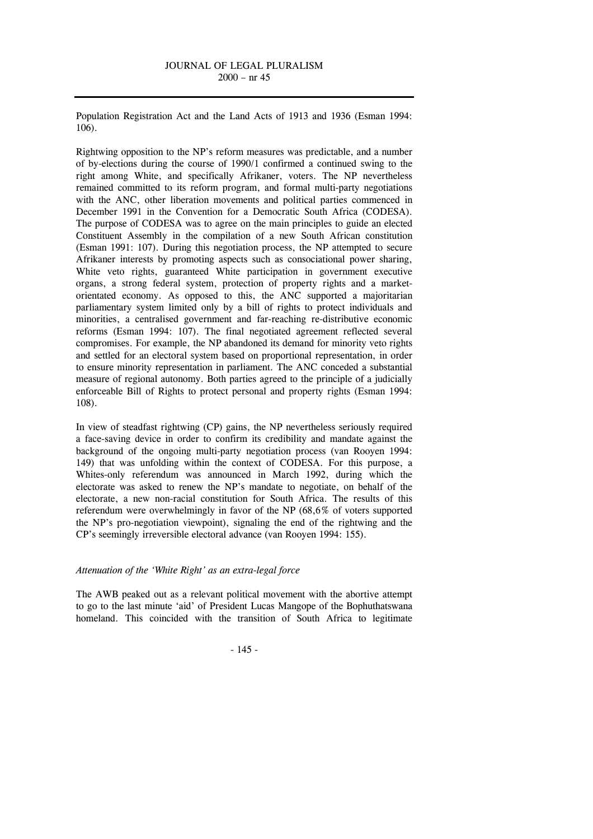Population Registration Act and the Land Acts of 1913 and 1936 (Esman 1994: 106).

Rightwing opposition to the NP's reform measures was predictable, and a number of by-elections during the course of 1990/1 confirmed a continued swing to the right among White, and specifically Afrikaner, voters. The NP nevertheless remained committed to its reform program, and formal multi-party negotiations with the ANC, other liberation movements and political parties commenced in December 1991 in the Convention for a Democratic South Africa (CODESA). The purpose of CODESA was to agree on the main principles to guide an elected Constituent Assembly in the compilation of a new South African constitution (Esman 1991: 107). During this negotiation process, the NP attempted to secure Afrikaner interests by promoting aspects such as consociational power sharing, White veto rights, guaranteed White participation in government executive organs, a strong federal system, protection of property rights and a marketorientated economy. As opposed to this, the ANC supported a majoritarian parliamentary system limited only by a bill of rights to protect individuals and minorities, a centralised government and far-reaching re-distributive economic reforms (Esman 1994: 107). The final negotiated agreement reflected several compromises. For example, the NP abandoned its demand for minority veto rights and settled for an electoral system based on proportional representation, in order to ensure minority representation in parliament. The ANC conceded a substantial measure of regional autonomy. Both parties agreed to the principle of a judicially enforceable Bill of Rights to protect personal and property rights (Esman 1994: 108).

In view of steadfast rightwing (CP) gains, the NP nevertheless seriously required a face-saving device in order to confirm its credibility and mandate against the background of the ongoing multi-party negotiation process (van Rooyen 1994: 149) that was unfolding within the context of CODESA. For this purpose, a Whites-only referendum was announced in March 1992, during which the electorate was asked to renew the NP's mandate to negotiate, on behalf of the electorate, a new non-racial constitution for South Africa. The results of this referendum were overwhelmingly in favor of the NP (68,6% of voters supported the NP's pro-negotiation viewpoint), signaling the end of the rightwing and the CP's seemingly irreversible electoral advance (van Rooyen 1994: 155).

## *Attenuation of the 'White Right' as an extra-legal force*

The AWB peaked out as a relevant political movement with the abortive attempt to go to the last minute 'aid' of President Lucas Mangope of the Bophuthatswana homeland. This coincided with the transition of South Africa to legitimate

- 145 -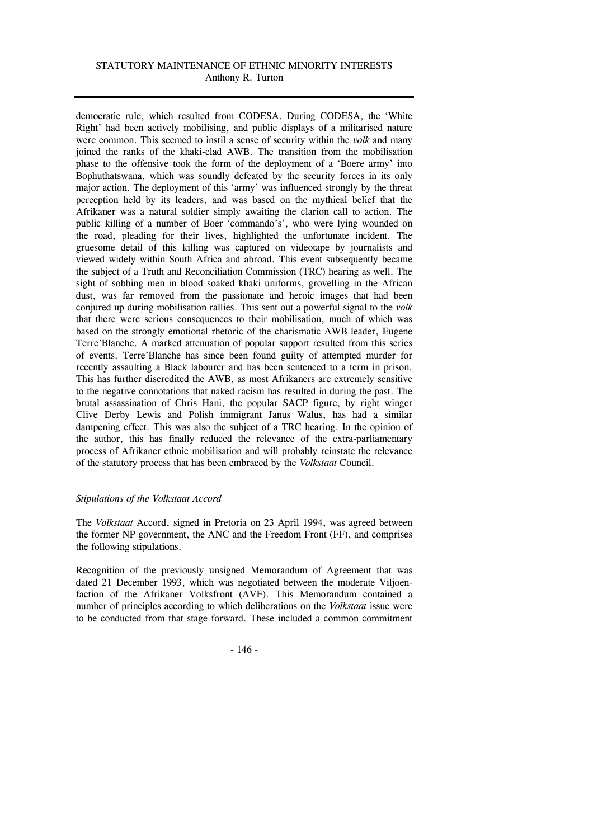democratic rule, which resulted from CODESA. During CODESA, the 'White Right' had been actively mobilising, and public displays of a militarised nature were common. This seemed to instil a sense of security within the *volk* and many joined the ranks of the khaki-clad AWB. The transition from the mobilisation phase to the offensive took the form of the deployment of a 'Boere army' into Bophuthatswana, which was soundly defeated by the security forces in its only major action. The deployment of this 'army' was influenced strongly by the threat perception held by its leaders, and was based on the mythical belief that the Afrikaner was a natural soldier simply awaiting the clarion call to action. The public killing of a number of Boer 'commando's', who were lying wounded on the road, pleading for their lives, highlighted the unfortunate incident. The gruesome detail of this killing was captured on videotape by journalists and viewed widely within South Africa and abroad. This event subsequently became the subject of a Truth and Reconciliation Commission (TRC) hearing as well. The sight of sobbing men in blood soaked khaki uniforms, grovelling in the African dust, was far removed from the passionate and heroic images that had been conjured up during mobilisation rallies. This sent out a powerful signal to the *volk* that there were serious consequences to their mobilisation, much of which was based on the strongly emotional rhetoric of the charismatic AWB leader, Eugene Terre'Blanche. A marked attenuation of popular support resulted from this series of events. Terre'Blanche has since been found guilty of attempted murder for recently assaulting a Black labourer and has been sentenced to a term in prison. This has further discredited the AWB, as most Afrikaners are extremely sensitive to the negative connotations that naked racism has resulted in during the past. The brutal assassination of Chris Hani, the popular SACP figure, by right winger Clive Derby Lewis and Polish immigrant Janus Walus, has had a similar dampening effect. This was also the subject of a TRC hearing. In the opinion of the author, this has finally reduced the relevance of the extra-parliamentary process of Afrikaner ethnic mobilisation and will probably reinstate the relevance of the statutory process that has been embraced by the *Volkstaat* Council.

## *Stipulations of the Volkstaat Accord*

The *Volkstaat* Accord, signed in Pretoria on 23 April 1994, was agreed between the former NP government, the ANC and the Freedom Front (FF), and comprises the following stipulations.

Recognition of the previously unsigned Memorandum of Agreement that was dated 21 December 1993, which was negotiated between the moderate Viljoenfaction of the Afrikaner Volksfront (AVF). This Memorandum contained a number of principles according to which deliberations on the *Volkstaat* issue were to be conducted from that stage forward. These included a common commitment

- 146 -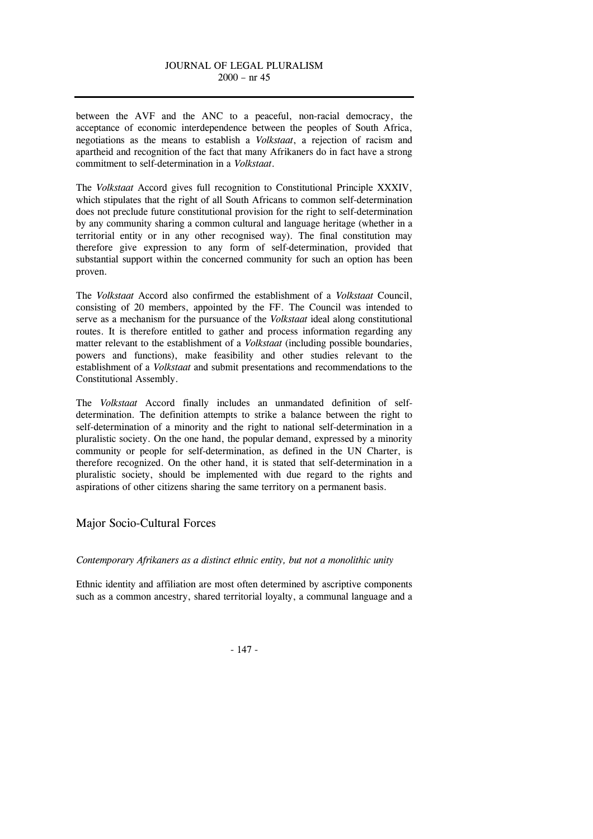between the AVF and the ANC to a peaceful, non-racial democracy, the acceptance of economic interdependence between the peoples of South Africa, negotiations as the means to establish a *Volkstaat*, a rejection of racism and apartheid and recognition of the fact that many Afrikaners do in fact have a strong commitment to self-determination in a *Volkstaat*.

The *Volkstaat* Accord gives full recognition to Constitutional Principle XXXIV, which stipulates that the right of all South Africans to common self-determination does not preclude future constitutional provision for the right to self-determination by any community sharing a common cultural and language heritage (whether in a territorial entity or in any other recognised way). The final constitution may therefore give expression to any form of self-determination, provided that substantial support within the concerned community for such an option has been proven.

The *Volkstaat* Accord also confirmed the establishment of a *Volkstaat* Council, consisting of 20 members, appointed by the FF. The Council was intended to serve as a mechanism for the pursuance of the *Volkstaat* ideal along constitutional routes. It is therefore entitled to gather and process information regarding any matter relevant to the establishment of a *Volkstaat* (including possible boundaries, powers and functions), make feasibility and other studies relevant to the establishment of a *Volkstaat* and submit presentations and recommendations to the Constitutional Assembly.

The *Volkstaat* Accord finally includes an unmandated definition of selfdetermination. The definition attempts to strike a balance between the right to self-determination of a minority and the right to national self-determination in a pluralistic society. On the one hand, the popular demand, expressed by a minority community or people for self-determination, as defined in the UN Charter, is therefore recognized. On the other hand, it is stated that self-determination in a pluralistic society, should be implemented with due regard to the rights and aspirations of other citizens sharing the same territory on a permanent basis.

# Major Socio-Cultural Forces

## *Contemporary Afrikaners as a distinct ethnic entity, but not a monolithic unity*

Ethnic identity and affiliation are most often determined by ascriptive components such as a common ancestry, shared territorial loyalty, a communal language and a

- 147 -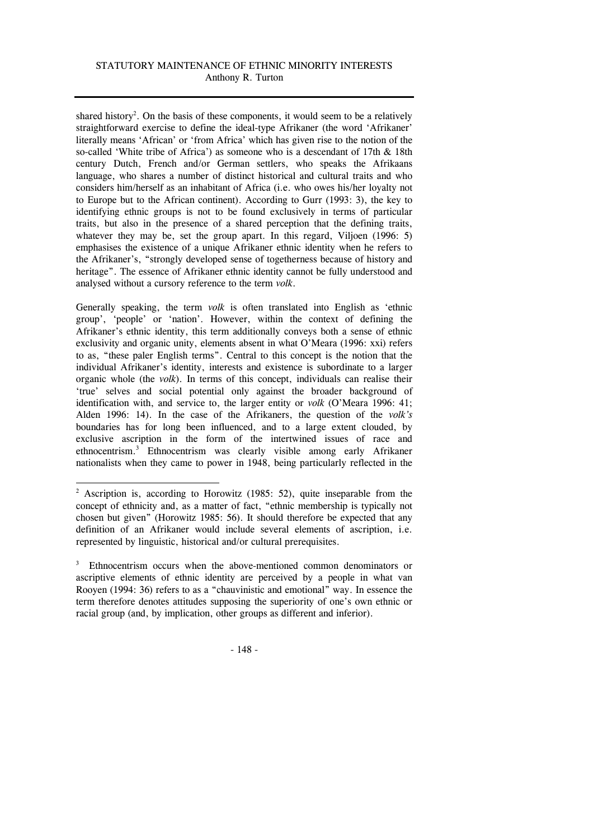shared history<sup>2</sup>. On the basis of these components, it would seem to be a relatively straightforward exercise to define the ideal-type Afrikaner (the word 'Afrikaner' literally means 'African' or 'from Africa' which has given rise to the notion of the so-called 'White tribe of Africa') as someone who is a descendant of 17th & 18th century Dutch, French and/or German settlers, who speaks the Afrikaans language, who shares a number of distinct historical and cultural traits and who considers him/herself as an inhabitant of Africa (i.e. who owes his/her loyalty not to Europe but to the African continent). According to Gurr (1993: 3), the key to identifying ethnic groups is not to be found exclusively in terms of particular traits, but also in the presence of a shared perception that the defining traits, whatever they may be, set the group apart. In this regard, Viljoen (1996: 5) emphasises the existence of a unique Afrikaner ethnic identity when he refers to the Afrikaner's, "strongly developed sense of togetherness because of history and heritage". The essence of Afrikaner ethnic identity cannot be fully understood and analysed without a cursory reference to the term *volk*.

Generally speaking, the term *volk* is often translated into English as 'ethnic group', 'people' or 'nation'. However, within the context of defining the Afrikaner's ethnic identity, this term additionally conveys both a sense of ethnic exclusivity and organic unity, elements absent in what O'Meara (1996: xxi) refers to as, "these paler English terms". Central to this concept is the notion that the individual Afrikaner's identity, interests and existence is subordinate to a larger organic whole (the *volk*). In terms of this concept, individuals can realise their 'true' selves and social potential only against the broader background of identification with, and service to, the larger entity or *volk* (O'Meara 1996: 41; Alden 1996: 14). In the case of the Afrikaners, the question of the *volk's* boundaries has for long been influenced, and to a large extent clouded, by exclusive ascription in the form of the intertwined issues of race and ethnocentrism.3 Ethnocentrism was clearly visible among early Afrikaner nationalists when they came to power in 1948, being particularly reflected in the

÷,

- 148 -

<sup>&</sup>lt;sup>2</sup> Ascription is, according to Horowitz (1985: 52), quite inseparable from the concept of ethnicity and, as a matter of fact, "ethnic membership is typically not chosen but given" (Horowitz 1985: 56). It should therefore be expected that any definition of an Afrikaner would include several elements of ascription, i.e. represented by linguistic, historical and/or cultural prerequisites.

Ethnocentrism occurs when the above-mentioned common denominators or ascriptive elements of ethnic identity are perceived by a people in what van Rooyen (1994: 36) refers to as a "chauvinistic and emotional" way. In essence the term therefore denotes attitudes supposing the superiority of one's own ethnic or racial group (and, by implication, other groups as different and inferior).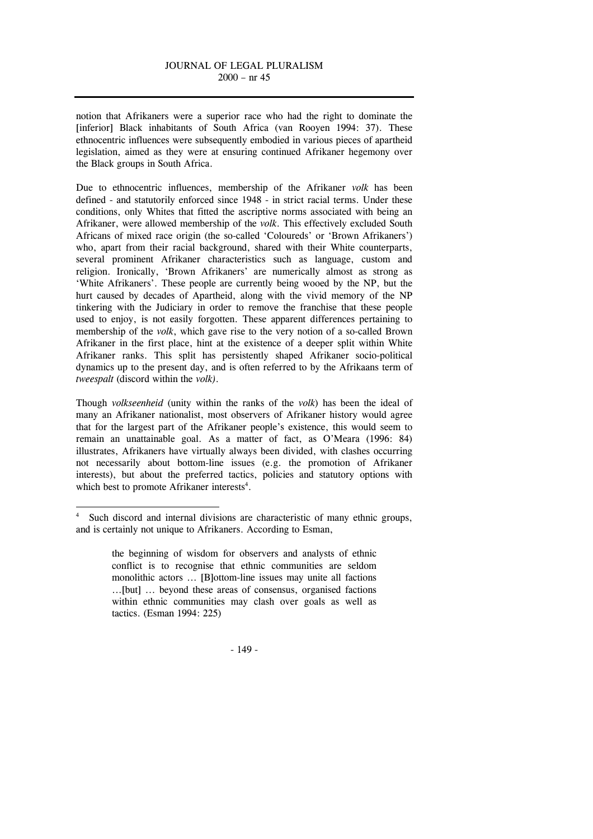notion that Afrikaners were a superior race who had the right to dominate the [inferior] Black inhabitants of South Africa (van Rooyen 1994: 37). These ethnocentric influences were subsequently embodied in various pieces of apartheid legislation, aimed as they were at ensuring continued Afrikaner hegemony over the Black groups in South Africa.

Due to ethnocentric influences, membership of the Afrikaner *volk* has been defined - and statutorily enforced since 1948 - in strict racial terms. Under these conditions, only Whites that fitted the ascriptive norms associated with being an Afrikaner, were allowed membership of the *volk*. This effectively excluded South Africans of mixed race origin (the so-called 'Coloureds' or 'Brown Afrikaners') who, apart from their racial background, shared with their White counterparts, several prominent Afrikaner characteristics such as language, custom and religion. Ironically, 'Brown Afrikaners' are numerically almost as strong as 'White Afrikaners'. These people are currently being wooed by the NP, but the hurt caused by decades of Apartheid, along with the vivid memory of the NP tinkering with the Judiciary in order to remove the franchise that these people used to enjoy, is not easily forgotten. These apparent differences pertaining to membership of the *volk*, which gave rise to the very notion of a so-called Brown Afrikaner in the first place, hint at the existence of a deeper split within White Afrikaner ranks. This split has persistently shaped Afrikaner socio-political dynamics up to the present day, and is often referred to by the Afrikaans term of *tweespalt* (discord within the *volk)*.

Though *volkseenheid* (unity within the ranks of the *volk*) has been the ideal of many an Afrikaner nationalist, most observers of Afrikaner history would agree that for the largest part of the Afrikaner people's existence, this would seem to remain an unattainable goal. As a matter of fact, as O'Meara (1996: 84) illustrates, Afrikaners have virtually always been divided, with clashes occurring not necessarily about bottom-line issues (e.g. the promotion of Afrikaner interests), but about the preferred tactics, policies and statutory options with which best to promote Afrikaner interests<sup>4</sup>.

÷,

- 149 -

Such discord and internal divisions are characteristic of many ethnic groups, and is certainly not unique to Afrikaners. According to Esman,

the beginning of wisdom for observers and analysts of ethnic conflict is to recognise that ethnic communities are seldom monolithic actors ... [B]ottom-line issues may unite all factions ...[but] ... beyond these areas of consensus, organised factions within ethnic communities may clash over goals as well as tactics. (Esman 1994: 225)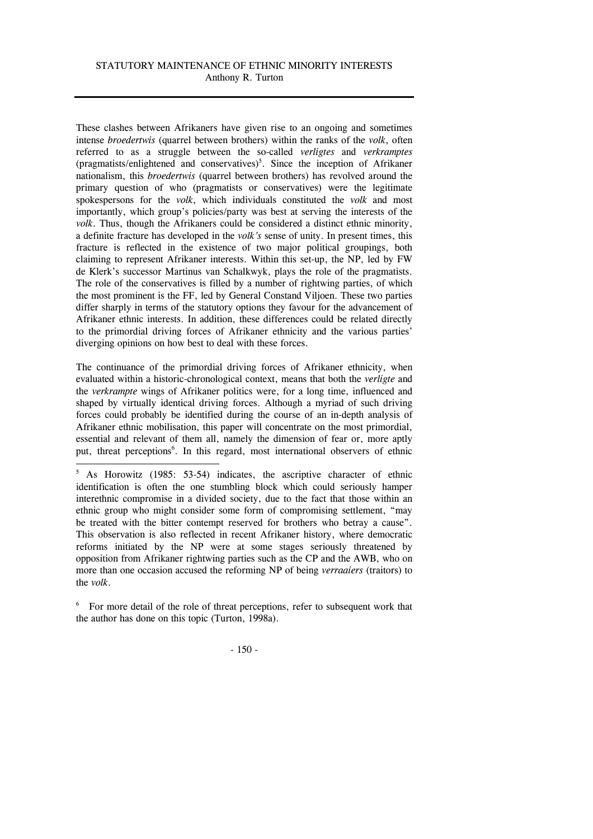These clashes between Afrikaners have given rise to an ongoing and sometimes intense *broedertwis* (quarrel between brothers) within the ranks of the *volk*, often referred to as a struggle between the so-called *verligtes* and *verkramptes* (pragmatists/enlightened and conservatives)<sup>5</sup>. Since the inception of Afrikaner nationalism, this *broedertwis* (quarrel between brothers) has revolved around the primary question of who (pragmatists or conservatives) were the legitimate spokespersons for the *volk*, which individuals constituted the *volk* and most importantly, which group's policies/party was best at serving the interests of the *volk*. Thus, though the Afrikaners could be considered a distinct ethnic minority, a definite fracture has developed in the *volk's* sense of unity. In present times, this fracture is reflected in the existence of two major political groupings, both claiming to represent Afrikaner interests. Within this set-up, the NP, led by FW de Klerk's successor Martinus van Schalkwyk, plays the role of the pragmatists. The role of the conservatives is filled by a number of rightwing parties, of which the most prominent is the FF, led by General Constand Viljoen. These two parties differ sharply in terms of the statutory options they favour for the advancement of Afrikaner ethnic interests. In addition, these differences could be related directly to the primordial driving forces of Afrikaner ethnicity and the various parties' diverging opinions on how best to deal with these forces.

The continuance of the primordial driving forces of Afrikaner ethnicity, when evaluated within a historic-chronological context, means that both the *verligte* and the *verkrampte* wings of Afrikaner politics were, for a long time, influenced and shaped by virtually identical driving forces. Although a myriad of such driving forces could probably be identified during the course of an in-depth analysis of Afrikaner ethnic mobilisation, this paper will concentrate on the most primordial, essential and relevant of them all, namely the dimension of fear or, more aptly put, threat perceptions<sup>6</sup>. In this regard, most international observers of ethnic

i<br>L

<sup>6</sup> For more detail of the role of threat perceptions, refer to subsequent work that the author has done on this topic (Turton, 1998a).

- 150 -

<sup>&</sup>lt;sup>5</sup> As Horowitz (1985: 53-54) indicates, the ascriptive character of ethnic identification is often the one stumbling block which could seriously hamper interethnic compromise in a divided society, due to the fact that those within an ethnic group who might consider some form of compromising settlement, "may be treated with the bitter contempt reserved for brothers who betray a cause". This observation is also reflected in recent Afrikaner history, where democratic reforms initiated by the NP were at some stages seriously threatened by opposition from Afrikaner rightwing parties such as the CP and the AWB, who on more than one occasion accused the reforming NP of being *verraaiers* (traitors) to the *volk*.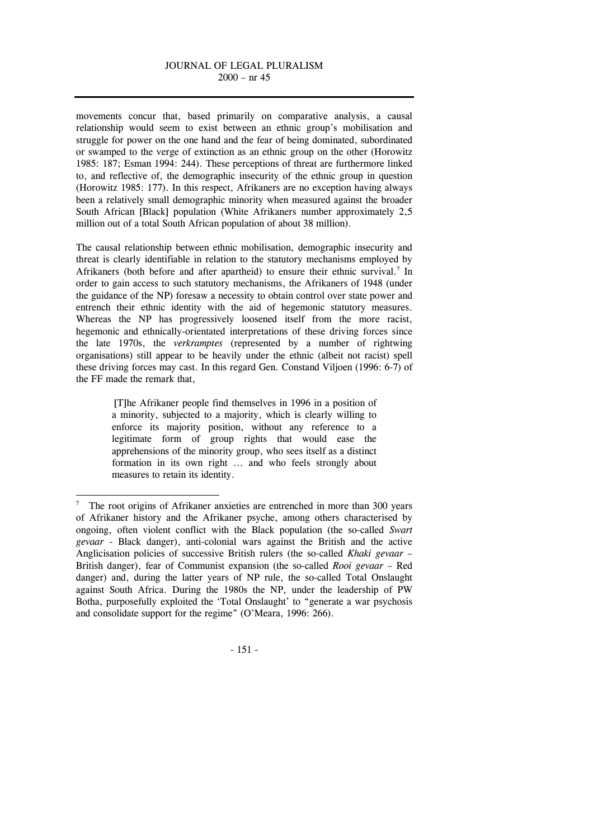movements concur that, based primarily on comparative analysis, a causal relationship would seem to exist between an ethnic group's mobilisation and struggle for power on the one hand and the fear of being dominated, subordinated or swamped to the verge of extinction as an ethnic group on the other (Horowitz 1985: 187; Esman 1994: 244). These perceptions of threat are furthermore linked to, and reflective of, the demographic insecurity of the ethnic group in question (Horowitz 1985: 177). In this respect, Afrikaners are no exception having always been a relatively small demographic minority when measured against the broader South African [Black] population (White Afrikaners number approximately 2,5 million out of a total South African population of about 38 million).

The causal relationship between ethnic mobilisation, demographic insecurity and threat is clearly identifiable in relation to the statutory mechanisms employed by Afrikaners (both before and after apartheid) to ensure their ethnic survival.<sup>7</sup> In order to gain access to such statutory mechanisms, the Afrikaners of 1948 (under the guidance of the NP) foresaw a necessity to obtain control over state power and entrench their ethnic identity with the aid of hegemonic statutory measures. Whereas the NP has progressively loosened itself from the more racist, hegemonic and ethnically-orientated interpretations of these driving forces since the late 1970s, the *verkramptes* (represented by a number of rightwing organisations) still appear to be heavily under the ethnic (albeit not racist) spell these driving forces may cast. In this regard Gen. Constand Viljoen (1996: 6-7) of the FF made the remark that,

> [T]he Afrikaner people find themselves in 1996 in a position of a minority, subjected to a majority, which is clearly willing to enforce its majority position, without any reference to a legitimate form of group rights that would ease the apprehensions of the minority group, who sees itself as a distinct formation in its own right ... and who feels strongly about measures to retain its identity.

i<br>L

- 151 -

 $7$  The root origins of Afrikaner anxieties are entrenched in more than 300 years of Afrikaner history and the Afrikaner psyche, among others characterised by ongoing, often violent conflict with the Black population (the so-called *Swart gevaar* - Black danger), anti-colonial wars against the British and the active Anglicisation policies of successive British rulers (the so-called *Khaki gevaar* – British danger), fear of Communist expansion (the so-called *Rooi gevaar –* Red danger) and, during the latter years of NP rule, the so-called Total Onslaught against South Africa. During the 1980s the NP, under the leadership of PW Botha, purposefully exploited the 'Total Onslaught' to "generate a war psychosis and consolidate support for the regime" (O'Meara, 1996: 266).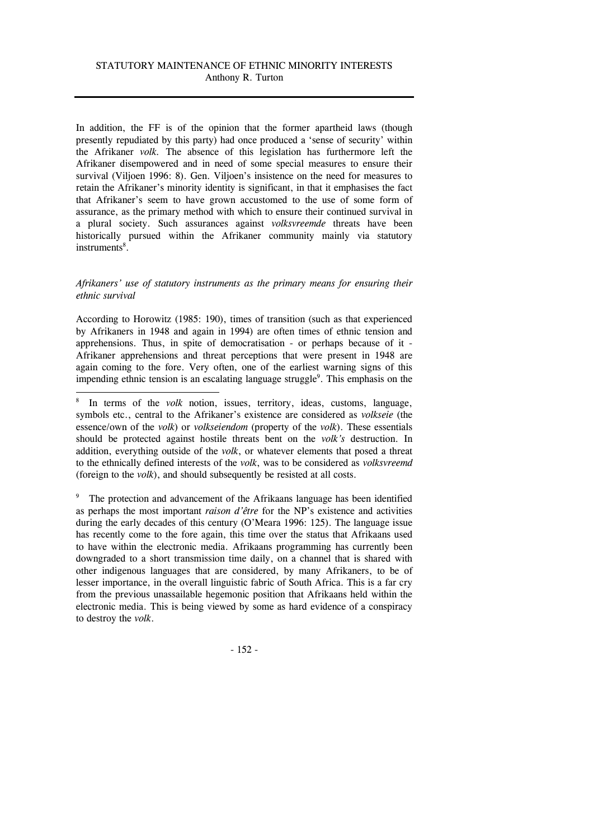In addition, the FF is of the opinion that the former apartheid laws (though presently repudiated by this party) had once produced a 'sense of security' within the Afrikaner *volk.* The absence of this legislation has furthermore left the Afrikaner disempowered and in need of some special measures to ensure their survival (Viljoen 1996: 8). Gen. Viljoen's insistence on the need for measures to retain the Afrikaner's minority identity is significant, in that it emphasises the fact that Afrikaner's seem to have grown accustomed to the use of some form of assurance, as the primary method with which to ensure their continued survival in a plural society. Such assurances against *volksvreemde* threats have been historically pursued within the Afrikaner community mainly via statutory instruments<sup>8</sup>.

# *Afrikaners' use of statutory instruments as the primary means for ensuring their ethnic survival*

According to Horowitz (1985: 190), times of transition (such as that experienced by Afrikaners in 1948 and again in 1994) are often times of ethnic tension and apprehensions. Thus, in spite of democratisation - or perhaps because of it - Afrikaner apprehensions and threat perceptions that were present in 1948 are again coming to the fore. Very often, one of the earliest warning signs of this impending ethnic tension is an escalating language struggle<sup>9</sup>. This emphasis on the

÷,

<sup>9</sup> The protection and advancement of the Afrikaans language has been identified as perhaps the most important *raison d'être* for the NP's existence and activities during the early decades of this century (O'Meara 1996: 125). The language issue has recently come to the fore again, this time over the status that Afrikaans used to have within the electronic media. Afrikaans programming has currently been downgraded to a short transmission time daily, on a channel that is shared with other indigenous languages that are considered, by many Afrikaners, to be of lesser importance, in the overall linguistic fabric of South Africa. This is a far cry from the previous unassailable hegemonic position that Afrikaans held within the electronic media. This is being viewed by some as hard evidence of a conspiracy to destroy the *volk*.

- 152 -

<sup>8</sup> In terms of the *volk* notion, issues, territory, ideas, customs, language, symbols etc., central to the Afrikaner's existence are considered as *volkseie* (the essence/own of the *volk*) or *volkseiendom* (property of the *volk*). These essentials should be protected against hostile threats bent on the *volk's* destruction. In addition, everything outside of the *volk*, or whatever elements that posed a threat to the ethnically defined interests of the *volk*, was to be considered as *volksvreemd* (foreign to the *volk*), and should subsequently be resisted at all costs.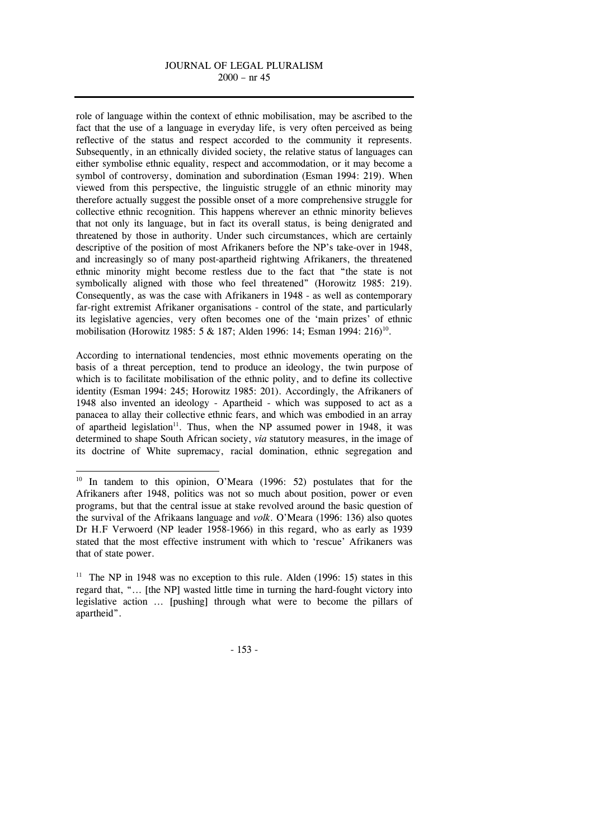role of language within the context of ethnic mobilisation, may be ascribed to the fact that the use of a language in everyday life, is very often perceived as being reflective of the status and respect accorded to the community it represents. Subsequently, in an ethnically divided society, the relative status of languages can either symbolise ethnic equality, respect and accommodation, or it may become a symbol of controversy, domination and subordination (Esman 1994: 219). When viewed from this perspective, the linguistic struggle of an ethnic minority may therefore actually suggest the possible onset of a more comprehensive struggle for collective ethnic recognition. This happens wherever an ethnic minority believes that not only its language, but in fact its overall status, is being denigrated and threatened by those in authority. Under such circumstances, which are certainly descriptive of the position of most Afrikaners before the NP's take-over in 1948, and increasingly so of many post-apartheid rightwing Afrikaners, the threatened ethnic minority might become restless due to the fact that "the state is not symbolically aligned with those who feel threatened" (Horowitz 1985: 219). Consequently, as was the case with Afrikaners in 1948 - as well as contemporary far-right extremist Afrikaner organisations - control of the state, and particularly its legislative agencies, very often becomes one of the 'main prizes' of ethnic mobilisation (Horowitz 1985: 5 & 187; Alden 1996: 14; Esman 1994: 216)<sup>10</sup>.

According to international tendencies, most ethnic movements operating on the basis of a threat perception, tend to produce an ideology, the twin purpose of which is to facilitate mobilisation of the ethnic polity, and to define its collective identity (Esman 1994: 245; Horowitz 1985: 201). Accordingly, the Afrikaners of 1948 also invented an ideology - Apartheid - which was supposed to act as a panacea to allay their collective ethnic fears, and which was embodied in an array of apartheid legislation<sup>11</sup>. Thus, when the NP assumed power in 1948, it was determined to shape South African society, *via* statutory measures, in the image of its doctrine of White supremacy, racial domination, ethnic segregation and

÷,

- 153 -

<sup>&</sup>lt;sup>10</sup> In tandem to this opinion, O'Meara (1996: 52) postulates that for the Afrikaners after 1948, politics was not so much about position, power or even programs, but that the central issue at stake revolved around the basic question of the survival of the Afrikaans language and *volk*. O'Meara (1996: 136) also quotes Dr H.F Verwoerd (NP leader 1958-1966) in this regard, who as early as 1939 stated that the most effective instrument with which to 'rescue' Afrikaners was that of state power.

<sup>&</sup>lt;sup>11</sup> The NP in 1948 was no exception to this rule. Alden (1996: 15) states in this regard that, "... [the NP] wasted little time in turning the hard-fought victory into legislative action ... [pushing] through what were to become the pillars of apartheid".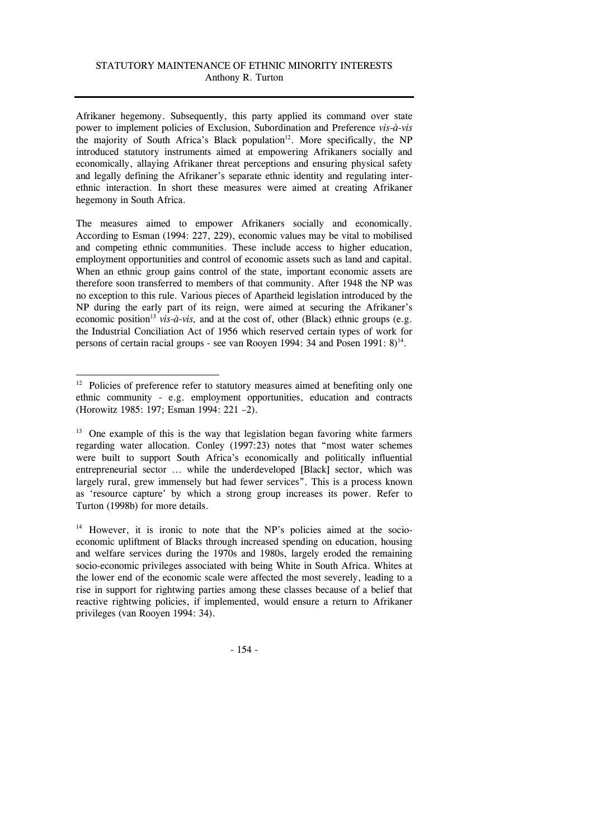Afrikaner hegemony. Subsequently, this party applied its command over state power to implement policies of Exclusion, Subordination and Preference *vis-à-vis* the majority of South Africa's Black population<sup>12</sup>. More specifically, the NP introduced statutory instruments aimed at empowering Afrikaners socially and economically, allaying Afrikaner threat perceptions and ensuring physical safety and legally defining the Afrikaner's separate ethnic identity and regulating interethnic interaction. In short these measures were aimed at creating Afrikaner hegemony in South Africa.

The measures aimed to empower Afrikaners socially and economically. According to Esman (1994: 227, 229), economic values may be vital to mobilised and competing ethnic communities. These include access to higher education, employment opportunities and control of economic assets such as land and capital. When an ethnic group gains control of the state, important economic assets are therefore soon transferred to members of that community. After 1948 the NP was no exception to this rule. Various pieces of Apartheid legislation introduced by the NP during the early part of its reign, were aimed at securing the Afrikaner's economic position<sup>13</sup> *vis-à-vis*, and at the cost of, other (Black) ethnic groups (e.g. the Industrial Conciliation Act of 1956 which reserved certain types of work for persons of certain racial groups - see van Rooyen 1994: 34 and Posen 1991:  $8^{14}$ .

i<br>L

<sup>14</sup> However, it is ironic to note that the NP's policies aimed at the socioeconomic upliftment of Blacks through increased spending on education, housing and welfare services during the 1970s and 1980s, largely eroded the remaining socio-economic privileges associated with being White in South Africa. Whites at the lower end of the economic scale were affected the most severely, leading to a rise in support for rightwing parties among these classes because of a belief that reactive rightwing policies, if implemented, would ensure a return to Afrikaner privileges (van Rooyen 1994: 34).

- 154 -

<sup>&</sup>lt;sup>12</sup> Policies of preference refer to statutory measures aimed at benefiting only one ethnic community - e.g. employment opportunities, education and contracts (Horowitz 1985: 197; Esman 1994: 221 –2).

 $13$  One example of this is the way that legislation began favoring white farmers regarding water allocation. Conley (1997:23) notes that "most water schemes were built to support South Africa's economically and politically influential entrepreneurial sector … while the underdeveloped [Black] sector, which was largely rural, grew immensely but had fewer services". This is a process known as 'resource capture' by which a strong group increases its power. Refer to Turton (1998b) for more details.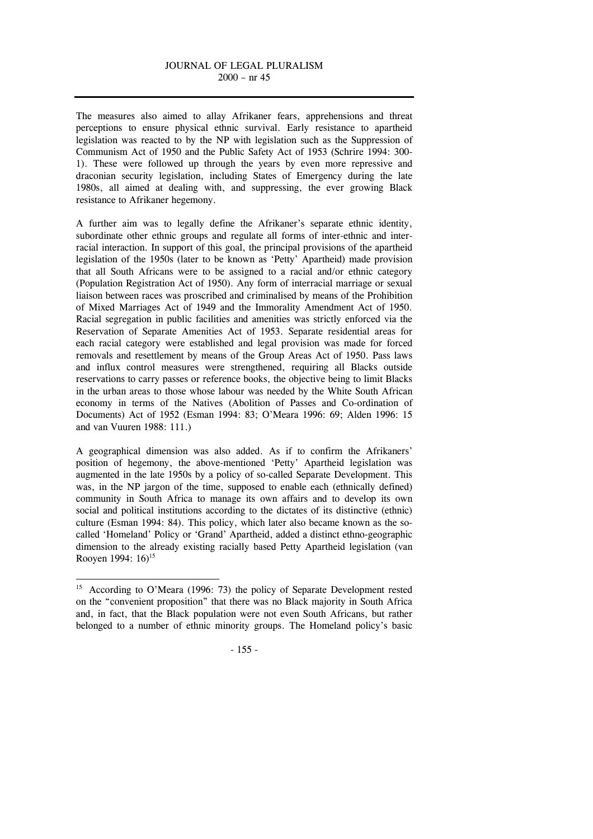The measures also aimed to allay Afrikaner fears, apprehensions and threat perceptions to ensure physical ethnic survival. Early resistance to apartheid legislation was reacted to by the NP with legislation such as the Suppression of Communism Act of 1950 and the Public Safety Act of 1953 (Schrire 1994: 300- 1). These were followed up through the years by even more repressive and draconian security legislation, including States of Emergency during the late 1980s, all aimed at dealing with, and suppressing, the ever growing Black resistance to Afrikaner hegemony.

A further aim was to legally define the Afrikaner's separate ethnic identity, subordinate other ethnic groups and regulate all forms of inter-ethnic and interracial interaction. In support of this goal, the principal provisions of the apartheid legislation of the 1950s (later to be known as 'Petty' Apartheid) made provision that all South Africans were to be assigned to a racial and/or ethnic category (Population Registration Act of 1950). Any form of interracial marriage or sexual liaison between races was proscribed and criminalised by means of the Prohibition of Mixed Marriages Act of 1949 and the Immorality Amendment Act of 1950. Racial segregation in public facilities and amenities was strictly enforced via the Reservation of Separate Amenities Act of 1953. Separate residential areas for each racial category were established and legal provision was made for forced removals and resettlement by means of the Group Areas Act of 1950. Pass laws and influx control measures were strengthened, requiring all Blacks outside reservations to carry passes or reference books, the objective being to limit Blacks in the urban areas to those whose labour was needed by the White South African economy in terms of the Natives (Abolition of Passes and Co-ordination of Documents) Act of 1952 (Esman 1994: 83; O'Meara 1996: 69; Alden 1996: 15 and van Vuuren 1988: 111.)

A geographical dimension was also added. As if to confirm the Afrikaners' position of hegemony, the above-mentioned 'Petty' Apartheid legislation was augmented in the late 1950s by a policy of so-called Separate Development. This was, in the NP jargon of the time, supposed to enable each (ethnically defined) community in South Africa to manage its own affairs and to develop its own social and political institutions according to the dictates of its distinctive (ethnic) culture (Esman 1994: 84). This policy, which later also became known as the socalled 'Homeland' Policy or 'Grand' Apartheid, added a distinct ethno-geographic dimension to the already existing racially based Petty Apartheid legislation (van Rooyen 1994:  $16$ <sup>15</sup>

÷,

- 155 -

<sup>&</sup>lt;sup>15</sup> According to O'Meara (1996: 73) the policy of Separate Development rested on the "convenient proposition" that there was no Black majority in South Africa and, in fact, that the Black population were not even South Africans, but rather belonged to a number of ethnic minority groups. The Homeland policy's basic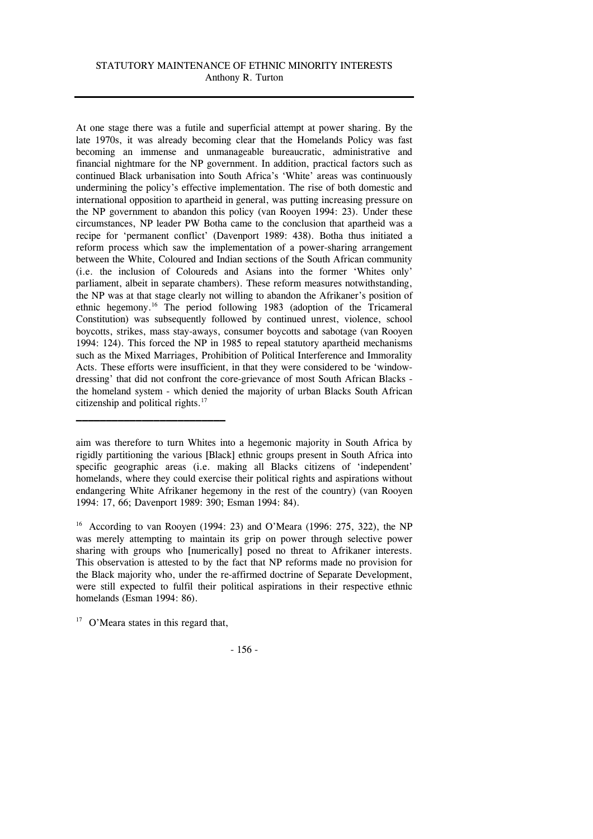At one stage there was a futile and superficial attempt at power sharing. By the late 1970s, it was already becoming clear that the Homelands Policy was fast becoming an immense and unmanageable bureaucratic, administrative and financial nightmare for the NP government. In addition, practical factors such as continued Black urbanisation into South Africa's 'White' areas was continuously undermining the policy's effective implementation. The rise of both domestic and international opposition to apartheid in general, was putting increasing pressure on the NP government to abandon this policy (van Rooyen 1994: 23). Under these circumstances, NP leader PW Botha came to the conclusion that apartheid was a recipe for 'permanent conflict' (Davenport 1989: 438). Botha thus initiated a reform process which saw the implementation of a power-sharing arrangement between the White, Coloured and Indian sections of the South African community (i.e. the inclusion of Coloureds and Asians into the former 'Whites only' parliament, albeit in separate chambers). These reform measures notwithstanding, the NP was at that stage clearly not willing to abandon the Afrikaner's position of ethnic hegemony.16 The period following 1983 (adoption of the Tricameral Constitution) was subsequently followed by continued unrest, violence, school boycotts, strikes, mass stay-aways, consumer boycotts and sabotage (van Rooyen 1994: 124). This forced the NP in 1985 to repeal statutory apartheid mechanisms such as the Mixed Marriages, Prohibition of Political Interference and Immorality Acts. These efforts were insufficient, in that they were considered to be 'windowdressing' that did not confront the core-grievance of most South African Blacks the homeland system - which denied the majority of urban Blacks South African citizenship and political rights.17

<sup>16</sup> According to van Rooyen (1994: 23) and O'Meara (1996: 275, 322), the NP was merely attempting to maintain its grip on power through selective power sharing with groups who [numerically] posed no threat to Afrikaner interests. This observation is attested to by the fact that NP reforms made no provision for the Black majority who, under the re-affirmed doctrine of Separate Development, were still expected to fulfil their political aspirations in their respective ethnic homelands (Esman 1994: 86).

<sup>17</sup> O'Meara states in this regard that,

\_\_\_\_\_\_\_\_\_\_\_\_\_\_\_\_\_\_\_\_\_\_\_\_\_

- 156 -

aim was therefore to turn Whites into a hegemonic majority in South Africa by rigidly partitioning the various [Black] ethnic groups present in South Africa into specific geographic areas (i.e. making all Blacks citizens of 'independent' homelands, where they could exercise their political rights and aspirations without endangering White Afrikaner hegemony in the rest of the country) (van Rooyen 1994: 17, 66; Davenport 1989: 390; Esman 1994: 84).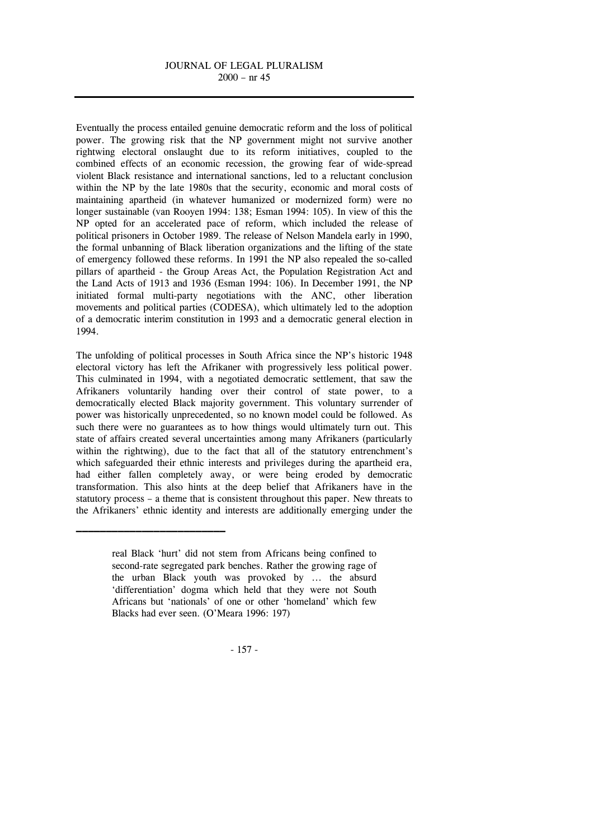Eventually the process entailed genuine democratic reform and the loss of political power. The growing risk that the NP government might not survive another rightwing electoral onslaught due to its reform initiatives, coupled to the combined effects of an economic recession, the growing fear of wide-spread violent Black resistance and international sanctions, led to a reluctant conclusion within the NP by the late 1980s that the security, economic and moral costs of maintaining apartheid (in whatever humanized or modernized form) were no longer sustainable (van Rooyen 1994: 138; Esman 1994: 105). In view of this the NP opted for an accelerated pace of reform, which included the release of political prisoners in October 1989. The release of Nelson Mandela early in 1990, the formal unbanning of Black liberation organizations and the lifting of the state of emergency followed these reforms. In 1991 the NP also repealed the so-called pillars of apartheid - the Group Areas Act, the Population Registration Act and the Land Acts of 1913 and 1936 (Esman 1994: 106). In December 1991, the NP initiated formal multi-party negotiations with the ANC, other liberation movements and political parties (CODESA), which ultimately led to the adoption of a democratic interim constitution in 1993 and a democratic general election in 1994.

The unfolding of political processes in South Africa since the NP's historic 1948 electoral victory has left the Afrikaner with progressively less political power. This culminated in 1994, with a negotiated democratic settlement, that saw the Afrikaners voluntarily handing over their control of state power, to a democratically elected Black majority government. This voluntary surrender of power was historically unprecedented, so no known model could be followed. As such there were no guarantees as to how things would ultimately turn out. This state of affairs created several uncertainties among many Afrikaners (particularly within the rightwing), due to the fact that all of the statutory entrenchment's which safeguarded their ethnic interests and privileges during the apartheid era, had either fallen completely away, or were being eroded by democratic transformation. This also hints at the deep belief that Afrikaners have in the statutory process – a theme that is consistent throughout this paper. New threats to the Afrikaners' ethnic identity and interests are additionally emerging under the

\_\_\_\_\_\_\_\_\_\_\_\_\_\_\_\_\_\_\_\_\_\_\_\_\_

- 157 -

real Black 'hurt' did not stem from Africans being confined to second-rate segregated park benches. Rather the growing rage of the urban Black youth was provoked by ... the absurd 'differentiation' dogma which held that they were not South Africans but 'nationals' of one or other 'homeland' which few Blacks had ever seen. (O'Meara 1996: 197)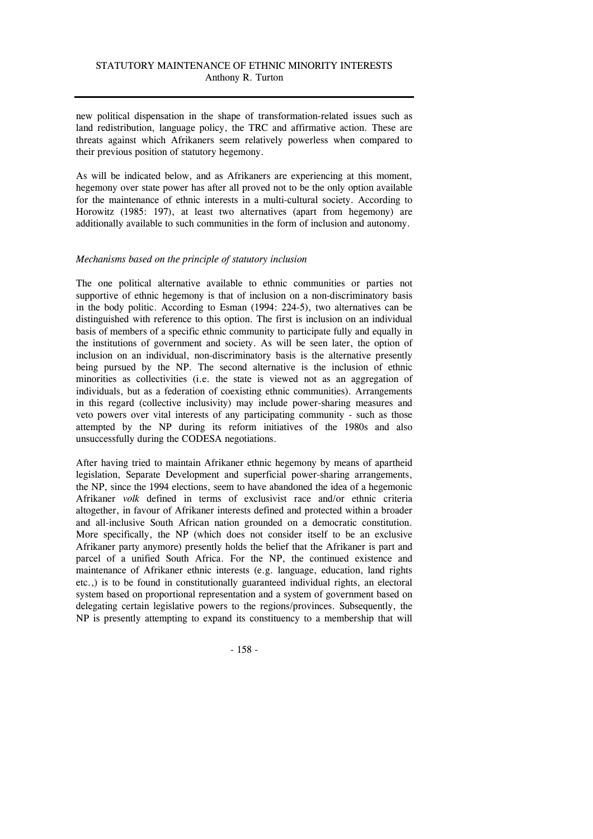new political dispensation in the shape of transformation-related issues such as land redistribution, language policy, the TRC and affirmative action. These are threats against which Afrikaners seem relatively powerless when compared to their previous position of statutory hegemony.

As will be indicated below, and as Afrikaners are experiencing at this moment, hegemony over state power has after all proved not to be the only option available for the maintenance of ethnic interests in a multi-cultural society. According to Horowitz (1985: 197), at least two alternatives (apart from hegemony) are additionally available to such communities in the form of inclusion and autonomy.

#### *Mechanisms based on the principle of statutory inclusion*

The one political alternative available to ethnic communities or parties not supportive of ethnic hegemony is that of inclusion on a non-discriminatory basis in the body politic. According to Esman (1994: 224-5), two alternatives can be distinguished with reference to this option. The first is inclusion on an individual basis of members of a specific ethnic community to participate fully and equally in the institutions of government and society. As will be seen later, the option of inclusion on an individual, non-discriminatory basis is the alternative presently being pursued by the NP. The second alternative is the inclusion of ethnic minorities as collectivities (i.e. the state is viewed not as an aggregation of individuals, but as a federation of coexisting ethnic communities). Arrangements in this regard (collective inclusivity) may include power-sharing measures and veto powers over vital interests of any participating community - such as those attempted by the NP during its reform initiatives of the 1980s and also unsuccessfully during the CODESA negotiations.

After having tried to maintain Afrikaner ethnic hegemony by means of apartheid legislation, Separate Development and superficial power-sharing arrangements, the NP, since the 1994 elections, seem to have abandoned the idea of a hegemonic Afrikaner *volk* defined in terms of exclusivist race and/or ethnic criteria altogether, in favour of Afrikaner interests defined and protected within a broader and all-inclusive South African nation grounded on a democratic constitution. More specifically, the NP (which does not consider itself to be an exclusive Afrikaner party anymore) presently holds the belief that the Afrikaner is part and parcel of a unified South Africa. For the NP, the continued existence and maintenance of Afrikaner ethnic interests (e.g. language, education, land rights etc.,) is to be found in constitutionally guaranteed individual rights, an electoral system based on proportional representation and a system of government based on delegating certain legislative powers to the regions/provinces. Subsequently, the NP is presently attempting to expand its constituency to a membership that will

- 158 -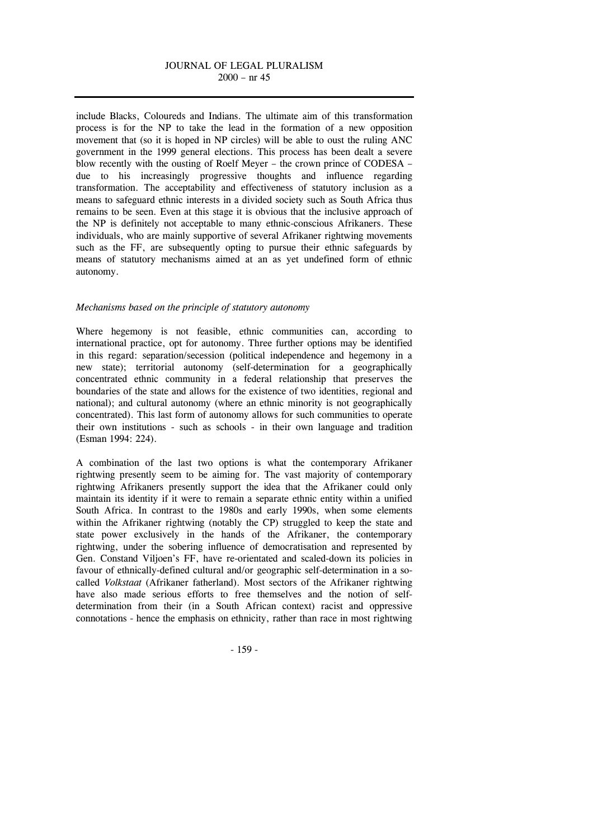include Blacks, Coloureds and Indians. The ultimate aim of this transformation process is for the NP to take the lead in the formation of a new opposition movement that (so it is hoped in NP circles) will be able to oust the ruling ANC government in the 1999 general elections. This process has been dealt a severe blow recently with the ousting of Roelf Meyer – the crown prince of CODESA – due to his increasingly progressive thoughts and influence regarding transformation. The acceptability and effectiveness of statutory inclusion as a means to safeguard ethnic interests in a divided society such as South Africa thus remains to be seen. Even at this stage it is obvious that the inclusive approach of the NP is definitely not acceptable to many ethnic-conscious Afrikaners. These individuals, who are mainly supportive of several Afrikaner rightwing movements such as the FF, are subsequently opting to pursue their ethnic safeguards by means of statutory mechanisms aimed at an as yet undefined form of ethnic autonomy.

#### *Mechanisms based on the principle of statutory autonomy*

Where hegemony is not feasible, ethnic communities can, according to international practice, opt for autonomy. Three further options may be identified in this regard: separation/secession (political independence and hegemony in a new state); territorial autonomy (self-determination for a geographically concentrated ethnic community in a federal relationship that preserves the boundaries of the state and allows for the existence of two identities, regional and national); and cultural autonomy (where an ethnic minority is not geographically concentrated). This last form of autonomy allows for such communities to operate their own institutions - such as schools - in their own language and tradition (Esman 1994: 224).

A combination of the last two options is what the contemporary Afrikaner rightwing presently seem to be aiming for. The vast majority of contemporary rightwing Afrikaners presently support the idea that the Afrikaner could only maintain its identity if it were to remain a separate ethnic entity within a unified South Africa. In contrast to the 1980s and early 1990s, when some elements within the Afrikaner rightwing (notably the CP) struggled to keep the state and state power exclusively in the hands of the Afrikaner, the contemporary rightwing, under the sobering influence of democratisation and represented by Gen. Constand Viljoen's FF, have re-orientated and scaled-down its policies in favour of ethnically-defined cultural and/or geographic self-determination in a socalled *Volkstaat* (Afrikaner fatherland). Most sectors of the Afrikaner rightwing have also made serious efforts to free themselves and the notion of selfdetermination from their (in a South African context) racist and oppressive connotations - hence the emphasis on ethnicity, rather than race in most rightwing

- 159 -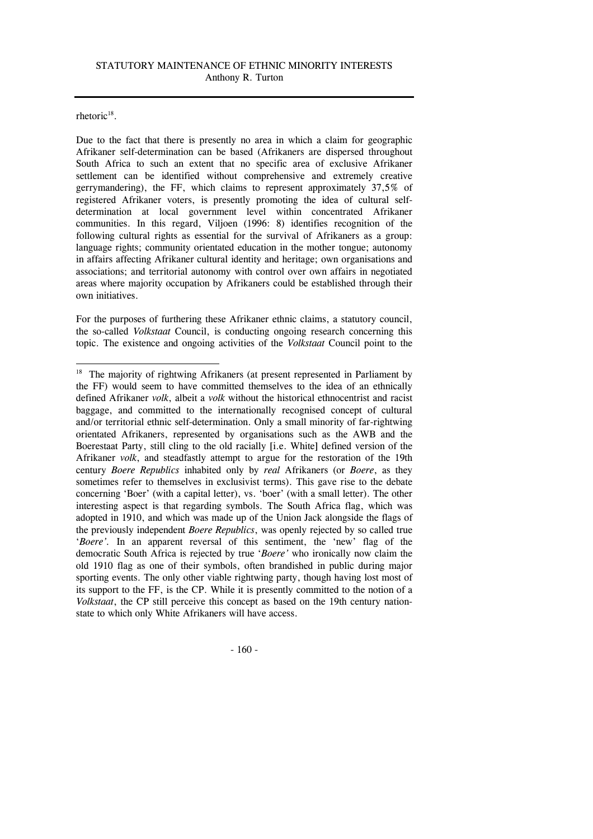rhetori $c^{18}$ .

Due to the fact that there is presently no area in which a claim for geographic Afrikaner self-determination can be based (Afrikaners are dispersed throughout South Africa to such an extent that no specific area of exclusive Afrikaner settlement can be identified without comprehensive and extremely creative gerrymandering), the FF, which claims to represent approximately 37,5% of registered Afrikaner voters, is presently promoting the idea of cultural selfdetermination at local government level within concentrated Afrikaner communities. In this regard, Viljoen (1996: 8) identifies recognition of the following cultural rights as essential for the survival of Afrikaners as a group: language rights; community orientated education in the mother tongue; autonomy in affairs affecting Afrikaner cultural identity and heritage; own organisations and associations; and territorial autonomy with control over own affairs in negotiated areas where majority occupation by Afrikaners could be established through their own initiatives.

For the purposes of furthering these Afrikaner ethnic claims, a statutory council, the so-called *Volkstaat* Council, is conducting ongoing research concerning this topic. The existence and ongoing activities of the *Volkstaat* Council point to the

- 160 -

i<br>L <sup>18</sup> The majority of rightwing Afrikaners (at present represented in Parliament by the FF) would seem to have committed themselves to the idea of an ethnically defined Afrikaner *volk*, albeit a *volk* without the historical ethnocentrist and racist baggage, and committed to the internationally recognised concept of cultural and/or territorial ethnic self-determination. Only a small minority of far-rightwing orientated Afrikaners, represented by organisations such as the AWB and the Boerestaat Party, still cling to the old racially [i.e. White] defined version of the Afrikaner *volk*, and steadfastly attempt to argue for the restoration of the 19th century *Boere Republics* inhabited only by *real* Afrikaners (or *Boere*, as they sometimes refer to themselves in exclusivist terms). This gave rise to the debate concerning 'Boer' (with a capital letter), vs. 'boer' (with a small letter). The other interesting aspect is that regarding symbols. The South Africa flag, which was adopted in 1910, and which was made up of the Union Jack alongside the flags of the previously independent *Boere Republics*, was openly rejected by so called true '*Boere'.* In an apparent reversal of this sentiment, the 'new' flag of the democratic South Africa is rejected by true '*Boere'* who ironically now claim the old 1910 flag as one of their symbols, often brandished in public during major sporting events. The only other viable rightwing party, though having lost most of its support to the FF, is the CP. While it is presently committed to the notion of a *Volkstaat*, the CP still perceive this concept as based on the 19th century nationstate to which only White Afrikaners will have access.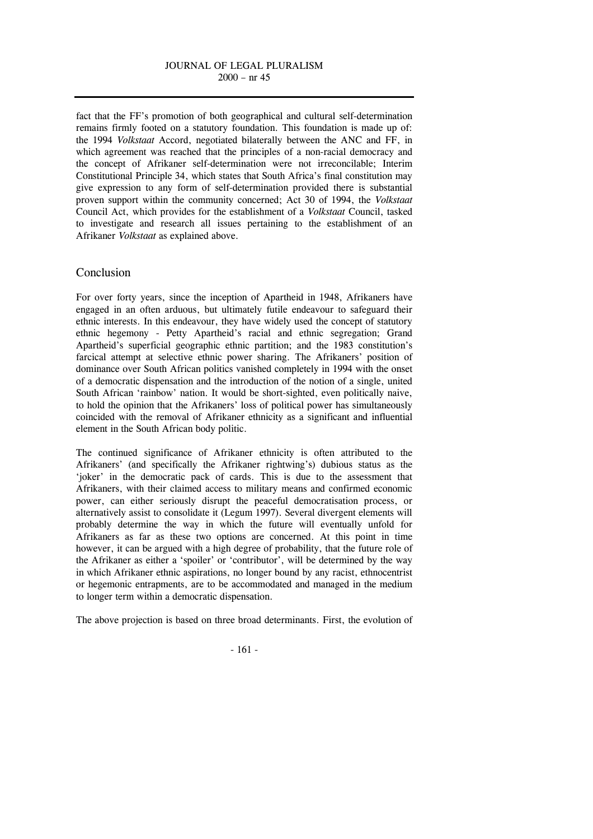fact that the FF's promotion of both geographical and cultural self-determination remains firmly footed on a statutory foundation. This foundation is made up of: the 1994 *Volkstaat* Accord, negotiated bilaterally between the ANC and FF, in which agreement was reached that the principles of a non-racial democracy and the concept of Afrikaner self-determination were not irreconcilable; Interim Constitutional Principle 34, which states that South Africa's final constitution may give expression to any form of self-determination provided there is substantial proven support within the community concerned; Act 30 of 1994, the *Volkstaat* Council Act, which provides for the establishment of a *Volkstaat* Council, tasked to investigate and research all issues pertaining to the establishment of an Afrikaner *Volkstaat* as explained above.

# Conclusion

For over forty years, since the inception of Apartheid in 1948, Afrikaners have engaged in an often arduous, but ultimately futile endeavour to safeguard their ethnic interests. In this endeavour, they have widely used the concept of statutory ethnic hegemony - Petty Apartheid's racial and ethnic segregation; Grand Apartheid's superficial geographic ethnic partition; and the 1983 constitution's farcical attempt at selective ethnic power sharing. The Afrikaners' position of dominance over South African politics vanished completely in 1994 with the onset of a democratic dispensation and the introduction of the notion of a single, united South African 'rainbow' nation. It would be short-sighted, even politically naive, to hold the opinion that the Afrikaners' loss of political power has simultaneously coincided with the removal of Afrikaner ethnicity as a significant and influential element in the South African body politic.

The continued significance of Afrikaner ethnicity is often attributed to the Afrikaners' (and specifically the Afrikaner rightwing's) dubious status as the 'joker' in the democratic pack of cards. This is due to the assessment that Afrikaners, with their claimed access to military means and confirmed economic power, can either seriously disrupt the peaceful democratisation process, or alternatively assist to consolidate it (Legum 1997). Several divergent elements will probably determine the way in which the future will eventually unfold for Afrikaners as far as these two options are concerned. At this point in time however, it can be argued with a high degree of probability, that the future role of the Afrikaner as either a 'spoiler' or 'contributor', will be determined by the way in which Afrikaner ethnic aspirations, no longer bound by any racist, ethnocentrist or hegemonic entrapments, are to be accommodated and managed in the medium to longer term within a democratic dispensation.

The above projection is based on three broad determinants. First, the evolution of

- 161 -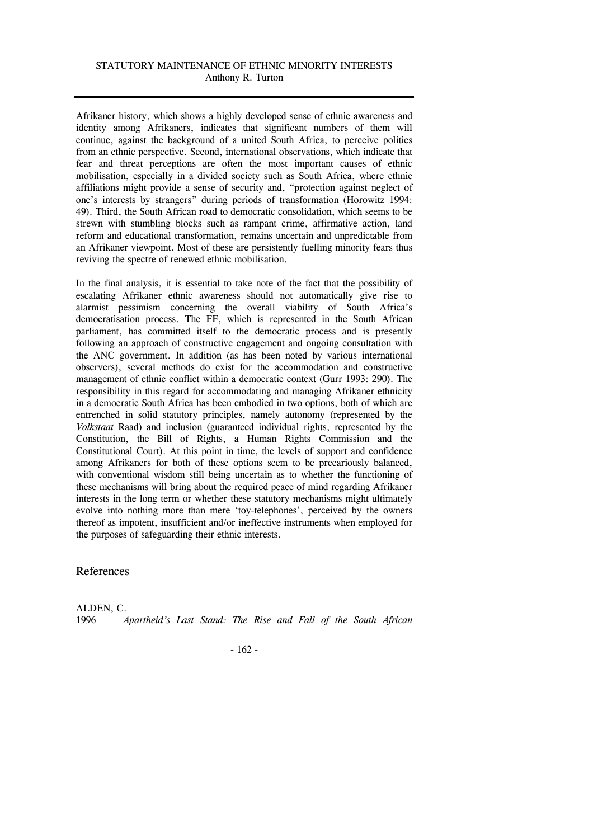Afrikaner history, which shows a highly developed sense of ethnic awareness and identity among Afrikaners, indicates that significant numbers of them will continue, against the background of a united South Africa, to perceive politics from an ethnic perspective. Second, international observations, which indicate that fear and threat perceptions are often the most important causes of ethnic mobilisation, especially in a divided society such as South Africa, where ethnic affiliations might provide a sense of security and, "protection against neglect of one's interests by strangers" during periods of transformation (Horowitz 1994: 49). Third, the South African road to democratic consolidation, which seems to be strewn with stumbling blocks such as rampant crime, affirmative action, land reform and educational transformation, remains uncertain and unpredictable from an Afrikaner viewpoint. Most of these are persistently fuelling minority fears thus reviving the spectre of renewed ethnic mobilisation.

In the final analysis, it is essential to take note of the fact that the possibility of escalating Afrikaner ethnic awareness should not automatically give rise to alarmist pessimism concerning the overall viability of South Africa's democratisation process. The FF, which is represented in the South African parliament, has committed itself to the democratic process and is presently following an approach of constructive engagement and ongoing consultation with the ANC government. In addition (as has been noted by various international observers), several methods do exist for the accommodation and constructive management of ethnic conflict within a democratic context (Gurr 1993: 290). The responsibility in this regard for accommodating and managing Afrikaner ethnicity in a democratic South Africa has been embodied in two options, both of which are entrenched in solid statutory principles, namely autonomy (represented by the *Volkstaat* Raad) and inclusion (guaranteed individual rights, represented by the Constitution, the Bill of Rights, a Human Rights Commission and the Constitutional Court). At this point in time, the levels of support and confidence among Afrikaners for both of these options seem to be precariously balanced, with conventional wisdom still being uncertain as to whether the functioning of these mechanisms will bring about the required peace of mind regarding Afrikaner interests in the long term or whether these statutory mechanisms might ultimately evolve into nothing more than mere 'toy-telephones', perceived by the owners thereof as impotent, insufficient and/or ineffective instruments when employed for the purposes of safeguarding their ethnic interests.

# References

ALDEN, C.

1996 *Apartheid's Last Stand: The Rise and Fall of the South African* 

- 162 -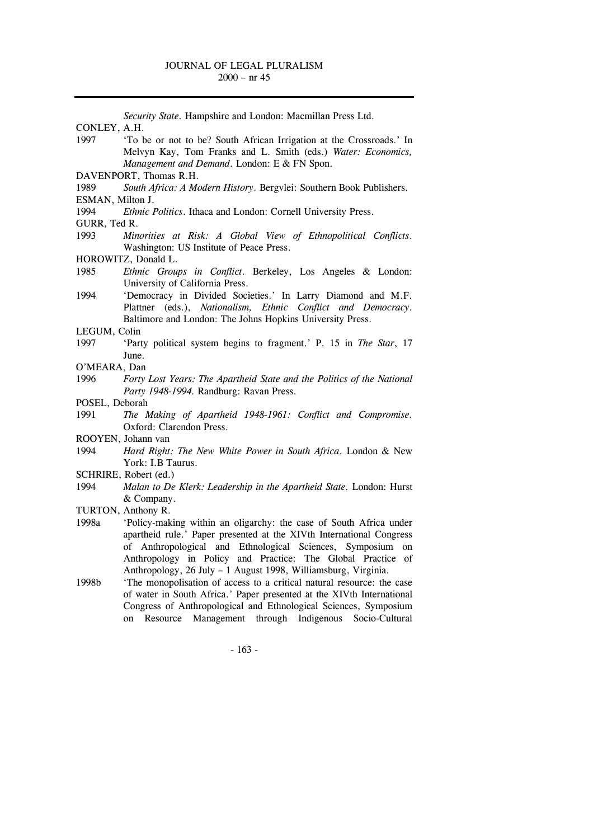|                                         | Security State. Hampshire and London: Macmillan Press Ltd.                                                                                 |
|-----------------------------------------|--------------------------------------------------------------------------------------------------------------------------------------------|
| CONLEY, A.H.                            |                                                                                                                                            |
| 1997                                    | 'To be or not to be? South African Irrigation at the Crossroads.' In<br>Melvyn Kay, Tom Franks and L. Smith (eds.) Water: Economics,       |
|                                         | Management and Demand. London: E & FN Spon.                                                                                                |
|                                         | DAVENPORT, Thomas R.H.                                                                                                                     |
| 1989                                    | South Africa: A Modern History. Bergylei: Southern Book Publishers.                                                                        |
|                                         | ESMAN, Milton J.                                                                                                                           |
| 1994                                    | Ethnic Politics. Ithaca and London: Cornell University Press.                                                                              |
| GURR, Ted R.                            |                                                                                                                                            |
| 1993                                    | Minorities at Risk: A Global View of Ethnopolitical Conflicts.                                                                             |
|                                         | Washington: US Institute of Peace Press.                                                                                                   |
| HOROWITZ, Donald L.                     |                                                                                                                                            |
| 1985                                    | Ethnic Groups in Conflict. Berkeley, Los Angeles & London:                                                                                 |
|                                         | University of California Press.                                                                                                            |
| 1994                                    | 'Democracy in Divided Societies.' In Larry Diamond and M.F.                                                                                |
|                                         | Plattner (eds.), Nationalism, Ethnic Conflict and Democracy.                                                                               |
|                                         | Baltimore and London: The Johns Hopkins University Press.                                                                                  |
| LEGUM, Colin                            |                                                                                                                                            |
| 1997                                    | 'Party political system begins to fragment.' P. 15 in The Star, 17                                                                         |
|                                         | June.                                                                                                                                      |
| O'MEARA, Dan                            |                                                                                                                                            |
| 1996                                    | Forty Lost Years: The Apartheid State and the Politics of the National                                                                     |
| Party 1948-1994. Randburg: Ravan Press. |                                                                                                                                            |
| POSEL, Deborah                          |                                                                                                                                            |
| 1991                                    | The Making of Apartheid 1948-1961: Conflict and Compromise.                                                                                |
|                                         | Oxford: Clarendon Press.                                                                                                                   |
| ROOYEN, Johann van                      |                                                                                                                                            |
| 1994                                    | Hard Right: The New White Power in South Africa. London & New                                                                              |
|                                         | York: I.B Taurus.                                                                                                                          |
| SCHRIRE, Robert (ed.)                   |                                                                                                                                            |
| 1994                                    | Malan to De Klerk: Leadership in the Apartheid State. London: Hurst                                                                        |
|                                         | & Company.                                                                                                                                 |
| 1998a                                   | TURTON, Anthony R.                                                                                                                         |
|                                         | 'Policy-making within an oligarchy: the case of South Africa under<br>apartheid rule.' Paper presented at the XIVth International Congress |
|                                         | of Anthropological and Ethnological Sciences, Symposium on                                                                                 |
|                                         | Anthropology in Policy and Practice: The Global Practice of                                                                                |
|                                         | Anthropology, 26 July - 1 August 1998, Williamsburg, Virginia.                                                                             |
| 1998b                                   | 'The monopolisation of access to a critical natural resource: the case                                                                     |
|                                         | of water in South Africa.' Paper presented at the XIVth International                                                                      |
|                                         | Congress of Anthropological and Ethnological Sciences, Symposium                                                                           |
|                                         | Indigenous<br>Resource<br>Management<br>through<br>Socio-Cultural<br>on                                                                    |
|                                         |                                                                                                                                            |
|                                         |                                                                                                                                            |
| $-163 -$                                |                                                                                                                                            |